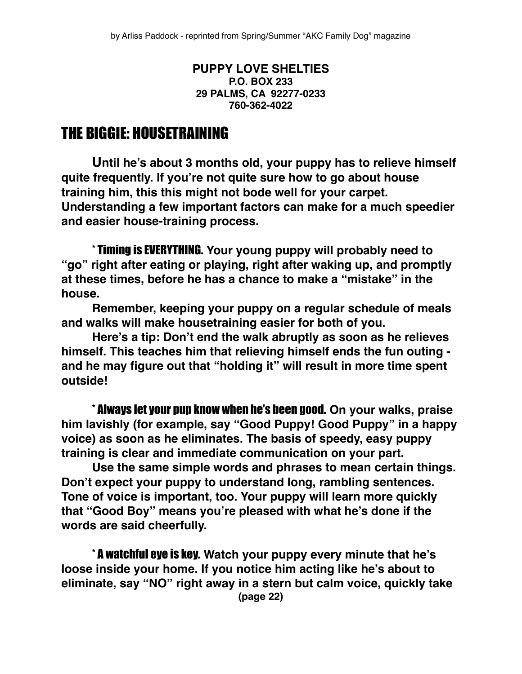#### **PUPPY LOVE SHELTIES P.O. BOX 233 29 PALMS, CA 92277-0233 760-362-4022**

#### THE BIGGIE: HOUSETRAINING

**Until he's about 3 months old, your puppy has to relieve himself quite frequently. If you're not quite sure how to go about house training him, this this might not bode well for your carpet. Understanding a few important factors can make for a much speedier and easier house-training process.**

\* Timing is EVERYTHING. **Your young puppy will probably need to "go" right after eating or playing, right after waking up, and promptly at these times, before he has a chance to make a "mistake" in the house.**

**Remember, keeping your puppy on a regular schedule of meals and walks will make housetraining easier for both of you.**

**Here's a tip: Don't end the walk abruptly as soon as he relieves himself. This teaches him that relieving himself ends the fun outing and he may figure out that "holding it" will result in more time spent outside!**

\* Always let your pup know when he's been good. **On your walks, praise him lavishly (for example, say "Good Puppy! Good Puppy" in a happy voice) as soon as he eliminates. The basis of speedy, easy puppy training is clear and immediate communication on your part.**

**Use the same simple words and phrases to mean certain things. Don't expect your puppy to understand long, rambling sentences. Tone of voice is important, too. Your puppy will learn more quickly that "Good Boy" means you're pleased with what he's done if the words are said cheerfully.**

\* A watchful eye is key. **Watch your puppy every minute that he's loose inside your home. If you notice him acting like he's about to eliminate, say "NO" right away in a stern but calm voice, quickly take (page 22)**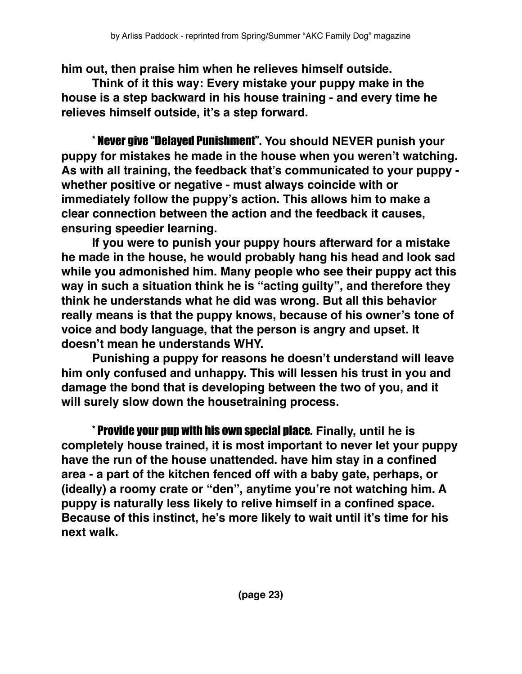**him out, then praise him when he relieves himself outside.**

**Think of it this way: Every mistake your puppy make in the house is a step backward in his house training - and every time he relieves himself outside, it's a step forward.**

\* Never give "Delayed Punishment". **You should NEVER punish your puppy for mistakes he made in the house when you weren't watching. As with all training, the feedback that's communicated to your puppy whether positive or negative - must always coincide with or immediately follow the puppy's action. This allows him to make a clear connection between the action and the feedback it causes, ensuring speedier learning.**

**If you were to punish your puppy hours afterward for a mistake he made in the house, he would probably hang his head and look sad while you admonished him. Many people who see their puppy act this way in such a situation think he is "acting guilty", and therefore they think he understands what he did was wrong. But all this behavior really means is that the puppy knows, because of his owner's tone of voice and body language, that the person is angry and upset. It doesn't mean he understands WHY.**

**Punishing a puppy for reasons he doesn't understand will leave him only confused and unhappy. This will lessen his trust in you and damage the bond that is developing between the two of you, and it will surely slow down the housetraining process.**

\* Provide your pup with his own special place. **Finally, until he is completely house trained, it is most important to never let your puppy have the run of the house unattended. have him stay in a confined area - a part of the kitchen fenced off with a baby gate, perhaps, or (ideally) a roomy crate or "den", anytime you're not watching him. A puppy is naturally less likely to relive himself in a confined space. Because of this instinct, he's more likely to wait until it's time for his next walk.**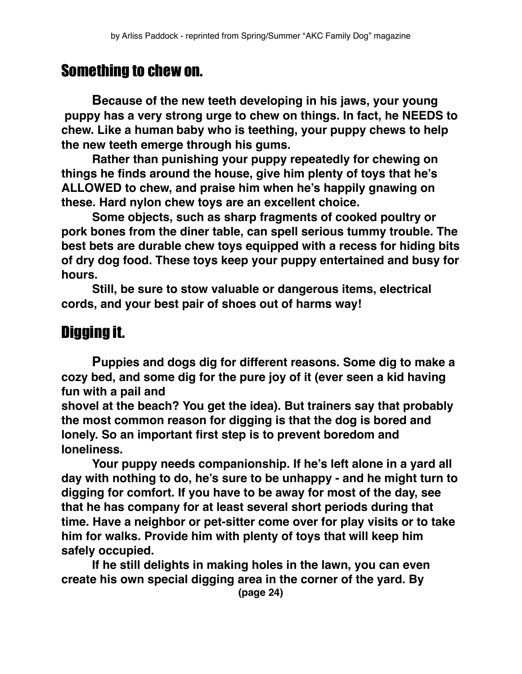### Something to chew on.

**Because of the new teeth developing in his jaws, your young puppy has a very strong urge to chew on things. In fact, he NEEDS to chew. Like a human baby who is teething, your puppy chews to help the new teeth emerge through his gums.**

**Rather than punishing your puppy repeatedly for chewing on things he finds around the house, give him plenty of toys that he's ALLOWED to chew, and praise him when he's happily gnawing on these. Hard nylon chew toys are an excellent choice.**

**Some objects, such as sharp fragments of cooked poultry or pork bones from the diner table, can spell serious tummy trouble. The best bets are durable chew toys equipped with a recess for hiding bits of dry dog food. These toys keep your puppy entertained and busy for hours.**

**Still, be sure to stow valuable or dangerous items, electrical cords, and your best pair of shoes out of harms way!**

## Digging it.

**Puppies and dogs dig for different reasons. Some dig to make a cozy bed, and some dig for the pure joy of it (ever seen a kid having fun with a pail and** 

**shovel at the beach? You get the idea). But trainers say that probably the most common reason for digging is that the dog is bored and lonely. So an important first step is to prevent boredom and loneliness.**

**Your puppy needs companionship. If he's left alone in a yard all day with nothing to do, he's sure to be unhappy - and he might turn to digging for comfort. If you have to be away for most of the day, see that he has company for at least several short periods during that time. Have a neighbor or pet-sitter come over for play visits or to take him for walks. Provide him with plenty of toys that will keep him safely occupied.**

**If he still delights in making holes in the lawn, you can even create his own special digging area in the corner of the yard. By**